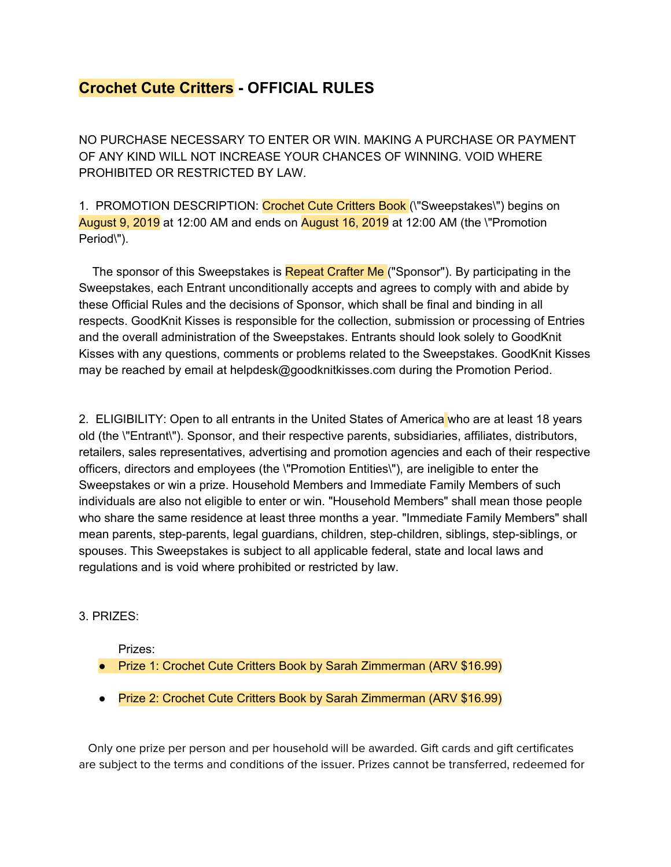## **Crochet Cute Critters - OFFICIAL RULES**

NO PURCHASE NECESSARY TO ENTER OR WIN. MAKING A PURCHASE OR PAYMENT OF ANY KIND WILL NOT INCREASE YOUR CHANCES OF WINNING. VOID WHERE PROHIBITED OR RESTRICTED BY LAW.

1. PROMOTION DESCRIPTION: Crochet Cute Critters Book ("Sweepstakes\") begins on August 9, 2019 at 12:00 AM and ends on August 16, 2019 at 12:00 AM (the \"Promotion Period\").

The sponsor of this Sweepstakes is **Repeat Crafter Me** ("Sponsor"). By participating in the Sweepstakes, each Entrant unconditionally accepts and agrees to comply with and abide by these Official Rules and the decisions of Sponsor, which shall be final and binding in all respects. GoodKnit Kisses is responsible for the collection, submission or processing of Entries and the overall administration of the Sweepstakes. Entrants should look solely to GoodKnit Kisses with any questions, comments or problems related to the Sweepstakes. GoodKnit Kisses may be reached by email at helpdesk@goodknitkisses.com during the Promotion Period.

2. ELIGIBILITY: Open to all entrants in the United States of America who are at least 18 years old (the \"Entrant\"). Sponsor, and their respective parents, subsidiaries, affiliates, distributors, retailers, sales representatives, advertising and promotion agencies and each of their respective officers, directors and employees (the \"Promotion Entities\"), are ineligible to enter the Sweepstakes or win a prize. Household Members and Immediate Family Members of such individuals are also not eligible to enter or win. "Household Members" shall mean those people who share the same residence at least three months a year. "Immediate Family Members" shall mean parents, step-parents, legal guardians, children, step-children, siblings, step-siblings, or spouses. This Sweepstakes is subject to all applicable federal, state and local laws and regulations and is void where prohibited or restricted by law.

## 3. PRIZES:

Prizes:

- Prize 1: Crochet Cute Critters Book by Sarah Zimmerman (ARV \$16.99)
- Prize 2: Crochet Cute Critters Book by Sarah Zimmerman (ARV \$16.99)

 Only one prize per person and per household will be awarded. Gift cards and gift certificates are subject to the terms and conditions of the issuer. Prizes cannot be transferred, redeemed for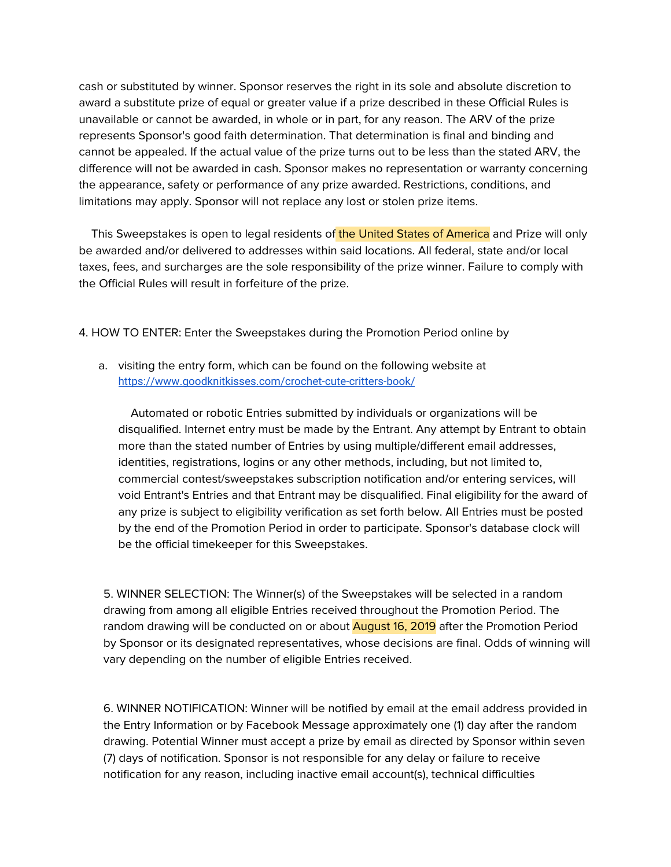cash or substituted by winner. Sponsor reserves the right in its sole and absolute discretion to award a substitute prize of equal or greater value if a prize described in these Official Rules is unavailable or cannot be awarded, in whole or in part, for any reason. The ARV of the prize represents Sponsor's good faith determination. That determination is final and binding and cannot be appealed. If the actual value of the prize turns out to be less than the stated ARV, the difference will not be awarded in cash. Sponsor makes no representation or warranty concerning the appearance, safety or performance of any prize awarded. Restrictions, conditions, and limitations may apply. Sponsor will not replace any lost or stolen prize items.

This Sweepstakes is open to legal residents of the United States of America and Prize will only be awarded and/or delivered to addresses within said locations. All federal, state and/or local taxes, fees, and surcharges are the sole responsibility of the prize winner. Failure to comply with the Official Rules will result in forfeiture of the prize.

4. HOW TO ENTER: Enter the Sweepstakes during the Promotion Period online by

a. visiting the entry form, which can be found on the following website at <https://www.goodknitkisses.com/crochet-cute-critters-book/>

 Automated or robotic Entries submitted by individuals or organizations will be disqualified. Internet entry must be made by the Entrant. Any attempt by Entrant to obtain more than the stated number of Entries by using multiple/different email addresses, identities, registrations, logins or any other methods, including, but not limited to, commercial contest/sweepstakes subscription notification and/or entering services, will void Entrant's Entries and that Entrant may be disqualified. Final eligibility for the award of any prize is subject to eligibility verification as set forth below. All Entries must be posted by the end of the Promotion Period in order to participate. Sponsor's database clock will be the official timekeeper for this Sweepstakes.

5. WINNER SELECTION: The Winner(s) of the Sweepstakes will be selected in a random drawing from among all eligible Entries received throughout the Promotion Period. The random drawing will be conducted on or about **August 16, 2019** after the Promotion Period by Sponsor or its designated representatives, whose decisions are final. Odds of winning will vary depending on the number of eligible Entries received.

6. WINNER NOTIFICATION: Winner will be notified by email at the email address provided in the Entry Information or by Facebook Message approximately one (1) day after the random drawing. Potential Winner must accept a prize by email as directed by Sponsor within seven (7) days of notification. Sponsor is not responsible for any delay or failure to receive notification for any reason, including inactive email account(s), technical difficulties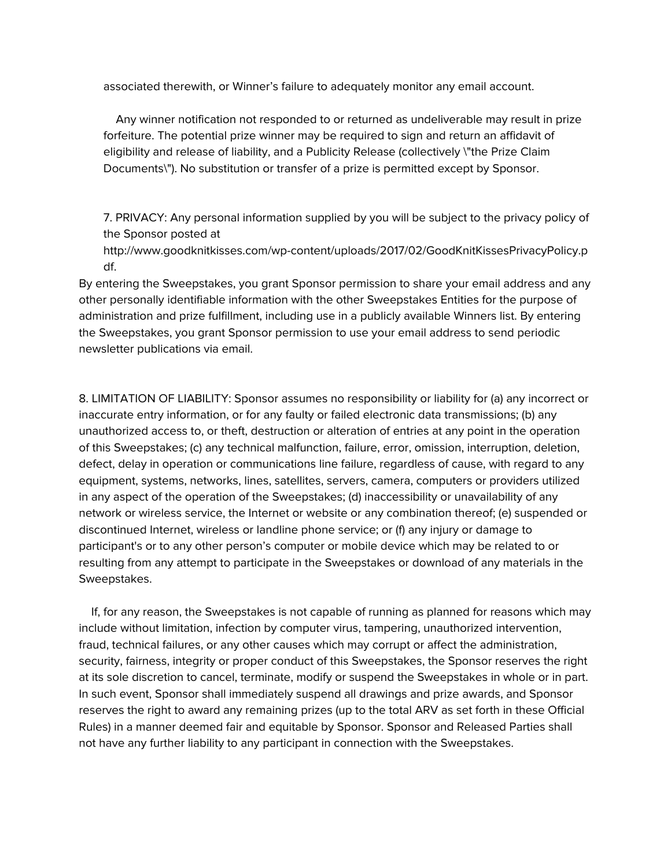associated therewith, or Winner's failure to adequately monitor any email account.

 Any winner notification not responded to or returned as undeliverable may result in prize forfeiture. The potential prize winner may be required to sign and return an affidavit of eligibility and release of liability, and a Publicity Release (collectively \"the Prize Claim Documents\"). No substitution or transfer of a prize is permitted except by Sponsor.

7. PRIVACY: Any personal information supplied by you will be subject to the privacy policy of the Sponsor posted at

http://www.goodknitkisses.com/wp-content/uploads/2017/02/GoodKnitKissesPrivacyPolicy.p df.

By entering the Sweepstakes, you grant Sponsor permission to share your email address and any other personally identifiable information with the other Sweepstakes Entities for the purpose of administration and prize fulfillment, including use in a publicly available Winners list. By entering the Sweepstakes, you grant Sponsor permission to use your email address to send periodic newsletter publications via email.

8. LIMITATION OF LIABILITY: Sponsor assumes no responsibility or liability for (a) any incorrect or inaccurate entry information, or for any faulty or failed electronic data transmissions; (b) any unauthorized access to, or theft, destruction or alteration of entries at any point in the operation of this Sweepstakes; (c) any technical malfunction, failure, error, omission, interruption, deletion, defect, delay in operation or communications line failure, regardless of cause, with regard to any equipment, systems, networks, lines, satellites, servers, camera, computers or providers utilized in any aspect of the operation of the Sweepstakes; (d) inaccessibility or unavailability of any network or wireless service, the Internet or website or any combination thereof; (e) suspended or discontinued Internet, wireless or landline phone service; or (f) any injury or damage to participant's or to any other person's computer or mobile device which may be related to or resulting from any attempt to participate in the Sweepstakes or download of any materials in the Sweepstakes.

 If, for any reason, the Sweepstakes is not capable of running as planned for reasons which may include without limitation, infection by computer virus, tampering, unauthorized intervention, fraud, technical failures, or any other causes which may corrupt or affect the administration, security, fairness, integrity or proper conduct of this Sweepstakes, the Sponsor reserves the right at its sole discretion to cancel, terminate, modify or suspend the Sweepstakes in whole or in part. In such event, Sponsor shall immediately suspend all drawings and prize awards, and Sponsor reserves the right to award any remaining prizes (up to the total ARV as set forth in these Official Rules) in a manner deemed fair and equitable by Sponsor. Sponsor and Released Parties shall not have any further liability to any participant in connection with the Sweepstakes.